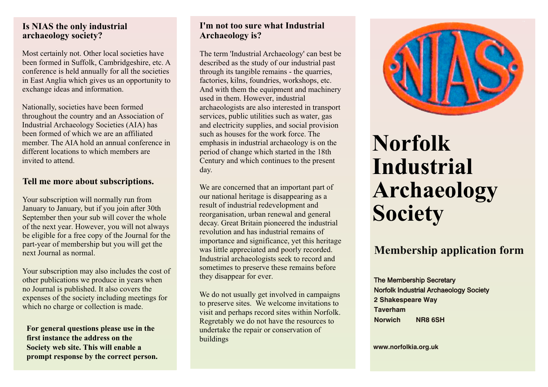#### **Is NIAS the only industrial archaeology society?**

Most certainly not. Other local societies have been formed in Suffolk, Cambridgeshire, etc. A conference is held annually for all the societies in East Anglia which gives us an opportunity to exchange ideas and information.

Nationally, societies have been formed throughout the country and an Association of Industrial Archaeology Societies (AIA) has been formed of which we are an affiliated member. The AIA hold an annual conference in different locations to which members are invited to attend.

#### **Tell me more about subscriptions.**

Your subscription will normally run from January to January, but if you join after 30th September then your sub will cover the whole of the next year. However, you will not always be eligible for a free copy of the Journal for the part-year of membership but you will get the next Journal as normal.

Your subscription may also includes the cost of other publications we produce in years when no Journal is published. It also covers the expenses of the society including meetings for which no charge or collection is made.

**For general questions please use in the first instance the address on the Society web site. This will enable a prompt response by the correct person.**

# **I'm not too sure what Industrial Archaeology is?**

The term 'Industrial Archaeology' can best be described as the study of our industrial past through its tangible remains - the quarries, factories, kilns, foundries, workshops, etc. And with them the equipment and machinery used in them. However, industrial archaeologists are also interested in transport services, public utilities such as water, gas and electricity supplies, and social provision such as houses for the work force. The emphasis in industrial archaeology is on the period of change which started in the 18th Century and which continues to the present day.

We are concerned that an important part of our national heritage is disappearing as a result of industrial redevelopment and reorganisation, urban renewal and general decay. Great Britain pioneered the industrial revolution and has industrial remains of importance and significance, yet this heritage was little appreciated and poorly recorded. Industrial archaeologists seek to record and sometimes to preserve these remains before they disappear for ever.

We do not usually get involved in campaigns to preserve sites. We welcome invitations to visit and perhaps record sites within Norfolk. Regretably we do not have the resources to undertake the repair or conservation of buildings



# **Norfolk Industrial Archaeology Society**

# **Membership application form**

The Membership Secretary Norfolk Industrial Archaeology Society **2 Shakespeare Way Taverham Norwich NR8 6SH**

**www.norfolkia.org.uk**